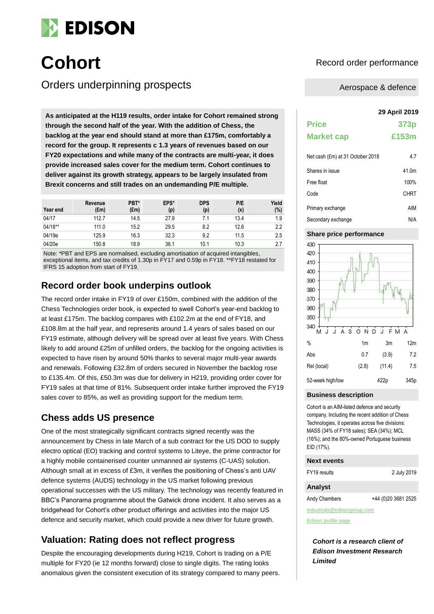

Orders underpinning prospects

As anticipated at the H119 results, order intake for Cohort remained strong **through the second half of the year. With the addition of Chess, the backlog at the year end should stand at more than £175m, comfortably a record for the group. It represents c 1.3 years of revenues based on our FY20 expectations and while many of the contracts are multi-year, it does provide increased sales cover for the medium term. Cohort continues to deliver against its growth strategy, appears to be largely insulated from Brexit concerns and still trades on an undemanding P/E multiple.**

| Year end | Revenue<br>$(\text{Em})$ | PBT*<br>$(\text{Em})$ | EPS*<br>(p) | <b>DPS</b><br>(p) | P/E<br>(x) | Yield<br>(%) |
|----------|--------------------------|-----------------------|-------------|-------------------|------------|--------------|
| 04/17    | 112.7                    | 14.5                  | 27.9        | 7.1               | 13.4       | 1.9          |
| 04/18**  | 111.0                    | 15.2                  | 29.5        | 8.2               | 12.6       | 2.2          |
| 04/19e   | 125.9                    | 16.3                  | 32.3        | 9.2               | 11.5       | 2.5          |
| 04/20e   | 150.8                    | 18.9                  | 36.1        | 10.1              | 10.3       | 2.7          |

Note: \*PBT and EPS are normalised, excluding amortisation of acquired intangibles, exceptional items, and tax credits of 1.30p in FY17 and 0.59p in FY18. \*\*FY18 restated for IFRS 15 adoption from start of FY19.

### **Record order book underpins outlook**

The record order intake in FY19 of over £150m, combined with the addition of the Chess Technologies order book, is expected to swell Cohort's year-end backlog to at least £175m. The backlog compares with £102.2m at the end of FY18, and £108.8m at the half year, and represents around 1.4 years of sales based on our FY19 estimate, although delivery will be spread over at least five years. With Chess likely to add around £25m of unfilled orders, the backlog for the ongoing activities is expected to have risen by around 50% thanks to several major multi-year awards and renewals. Following £32.8m of orders secured in November the backlog rose to £135.4m. Of this, £50.3m was due for delivery in H219, providing order cover for FY19 sales at that time of 81%. Subsequent order intake further improved the FY19 sales cover to 85%, as well as providing support for the medium term.

# **Chess adds US presence**

One of the most strategically significant contracts signed recently was the announcement by Chess in late March of a sub contract for the US DOD to supply electro optical (EO) tracking and control systems to Liteye, the prime contractor for a highly mobile containerised counter unmanned air systems (C-UAS) solution. Although small at in excess of £3m, it verifies the positioning of Chess's anti UAV defence systems (AUDS) technology in the US market following previous operational successes with the US military. The technology was recently featured in BBC's Panorama programme about the Gatwick drone incident. It also serves as a bridgehead for Cohort's other product offerings and activities into the major US defence and security market, which could provide a new driver for future growth.

# **Valuation: Rating does not reflect progress**

Despite the encouraging developments during H219, Cohort is trading on a P/E multiple for FY20 (ie 12 months forward) close to single digits. The rating looks anomalous given the consistent execution of its strategy compared to many peers.

# **Cohort** Record order performance

### Aerospace & defence

|                                  | <b>29 April 2019</b> |
|----------------------------------|----------------------|
| <b>Price</b>                     | 373p                 |
| <b>Market cap</b>                | £153m                |
| Net cash (£m) at 31 October 2018 | 4.7                  |
| Shares in issue                  | 41 0m                |
| Free float                       | 100%                 |
| Code                             | CHRT                 |
| Primary exchange                 | AIM                  |
| Secondary exchange               | N/A                  |

### **Share price performance**



#### **Business description**

Cohort is an AIM-listed defence and security company. Including the recent addition of Chess Technologies, it operates across five divisions: MASS (34% of FY18 sales); SEA (34%); MCL (16%); and the 80%-owned Portuguese business EID (17%).

#### **Next events**

| FY19 results | 2 July 2019 |
|--------------|-------------|
|              |             |

### **Analyst**

Andy Chambers +44 (0)20 3681 2525

industrials@edisongroup.com

[Edison profile page](https://www.edisongroup.com/company/cohort)

*Cohort is a research client of Edison Investment Research Limited*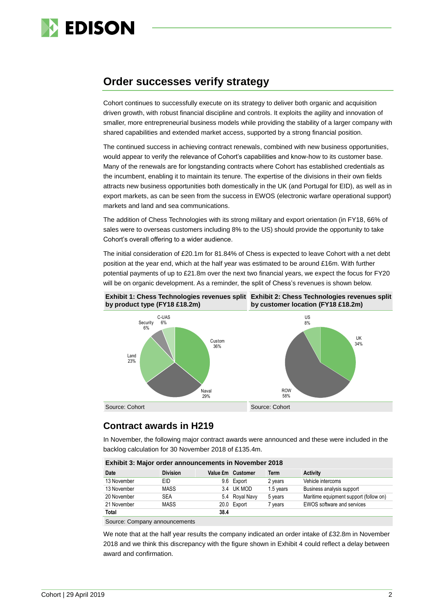

# **Order successes verify strategy**

Cohort continues to successfully execute on its strategy to deliver both organic and acquisition driven growth, with robust financial discipline and controls. It exploits the agility and innovation of smaller, more entrepreneurial business models while providing the stability of a larger company with shared capabilities and extended market access, supported by a strong financial position.

The continued success in achieving contract renewals, combined with new business opportunities, would appear to verify the relevance of Cohort's capabilities and know-how to its customer base. Many of the renewals are for longstanding contracts where Cohort has established credentials as the incumbent, enabling it to maintain its tenure. The expertise of the divisions in their own fields attracts new business opportunities both domestically in the UK (and Portugal for EID), as well as in export markets, as can be seen from the success in EWOS (electronic warfare operational support) markets and land and sea communications.

The addition of Chess Technologies with its strong military and export orientation (in FY18, 66% of sales were to overseas customers including 8% to the US) should provide the opportunity to take Cohort's overall offering to a wider audience.

The initial consideration of £20.1m for 81.84% of Chess is expected to leave Cohort with a net debt position at the year end, which at the half year was estimated to be around £16m. With further potential payments of up to £21.8m over the next two financial years, we expect the focus for FY20 will be on organic development. As a reminder, the split of Chess's revenues is shown below.



# **Contract awards in H219**

In November, the following major contract awards were announced and these were included in the backlog calculation for 30 November 2018 of £135.4m.

| Exhibit 3: Major order announcements in November 2018 |                 |      |                   |           |                                        |  |  |
|-------------------------------------------------------|-----------------|------|-------------------|-----------|----------------------------------------|--|--|
| Date                                                  | <b>Division</b> |      | Value £m Customer | Term      | <b>Activity</b>                        |  |  |
| 13 November                                           | EID             |      | 9.6 Export        | 2 years   | Vehicle intercoms                      |  |  |
| 13 November                                           | <b>MASS</b>     |      | 3.4 UK MOD        | 1.5 years | Business analysis support              |  |  |
| 20 November                                           | <b>SEA</b>      |      | 5.4 Royal Navy    | 5 years   | Maritime equipment support (follow on) |  |  |
| 21 November                                           | <b>MASS</b>     |      | 20.0 Export       | 7 years   | <b>EWOS</b> software and services      |  |  |
| <b>Total</b>                                          |                 | 38.4 |                   |           |                                        |  |  |
| Source: Company announcements                         |                 |      |                   |           |                                        |  |  |

**Exhibit 3: Major order announcements in November 2018**

We note that at the half year results the company indicated an order intake of £32.8m in November 2018 and we think this discrepancy with the figure shown in Exhibit 4 could reflect a delay between award and confirmation.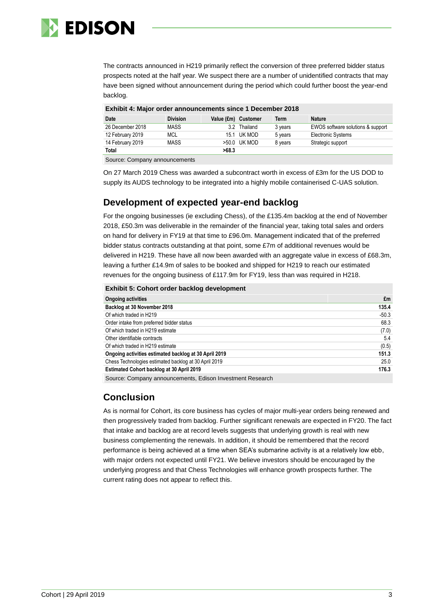

The contracts announced in H219 primarily reflect the conversion of three preferred bidder status prospects noted at the half year. We suspect there are a number of unidentified contracts that may have been signed without announcement during the period which could further boost the year-end backlog.

|  | Exhibit 4: Major order announcements since 1 December 2018 |  |  |
|--|------------------------------------------------------------|--|--|
|  |                                                            |  |  |

| Date             | <b>Division</b> | Value (£m) Customer |              | Term    | <b>Nature</b>                     |
|------------------|-----------------|---------------------|--------------|---------|-----------------------------------|
| 26 December 2018 | <b>MASS</b>     | 32                  | Thailand     | 3 years | EWOS software solutions & support |
| 12 February 2019 | MCL             |                     | 15.1 UK MOD  | 5 years | <b>Electronic Systems</b>         |
| 14 February 2019 | <b>MASS</b>     |                     | >50.0 UK MOD | 8 years | Strategic support                 |
| Total            |                 | >68.3               |              |         |                                   |

Source: Company announcements

On 27 March 2019 Chess was awarded a subcontract worth in excess of £3m for the US DOD to supply its AUDS technology to be integrated into a highly mobile containerised C-UAS solution.

# **Development of expected year-end backlog**

For the ongoing businesses (ie excluding Chess), of the £135.4m backlog at the end of November 2018, £50.3m was deliverable in the remainder of the financial year, taking total sales and orders on hand for delivery in FY19 at that time to £96.0m. Management indicated that of the preferred bidder status contracts outstanding at that point, some £7m of additional revenues would be delivered in H219. These have all now been awarded with an aggregate value in excess of £68.3m, leaving a further £14.9m of sales to be booked and shipped for H219 to reach our estimated revenues for the ongoing business of £117.9m for FY19, less than was required in H218.

|  |  | Exhibit 5: Cohort order backlog development |  |
|--|--|---------------------------------------------|--|

| <b>Ongoing activities</b>                             | £m      |
|-------------------------------------------------------|---------|
| Backlog at 30 November 2018                           | 135.4   |
| Of which traded in H219                               | $-50.3$ |
| Order intake from preferred bidder status             | 68.3    |
| Of which traded in H219 estimate                      | (7.0)   |
| Other identifiable contracts                          | 5.4     |
| Of which traded in H219 estimate                      | (0.5)   |
| Ongoing activities estimated backlog at 30 April 2019 | 151.3   |
| Chess Technologies estimated backlog at 30 April 2019 | 25.0    |
| <b>Estimated Cohort backlog at 30 April 2019</b>      | 176.3   |
|                                                       |         |

Source: Company announcements, Edison Investment Research

# **Conclusion**

As is normal for Cohort, its core business has cycles of major multi-year orders being renewed and then progressively traded from backlog. Further significant renewals are expected in FY20. The fact that intake and backlog are at record levels suggests that underlying growth is real with new business complementing the renewals. In addition, it should be remembered that the record performance is being achieved at a time when SEA's submarine activity is at a relatively low ebb, with major orders not expected until FY21. We believe investors should be encouraged by the underlying progress and that Chess Technologies will enhance growth prospects further. The current rating does not appear to reflect this.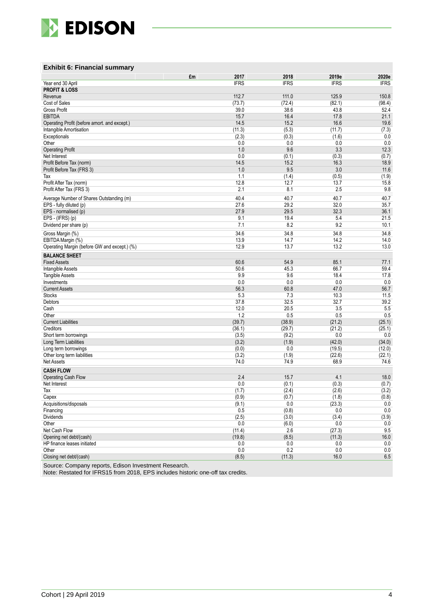

### **Exhibit 6: Financial summary**

|                                                       | 2017<br>£m      | 2018            | 2019e           | 2020e          |
|-------------------------------------------------------|-----------------|-----------------|-----------------|----------------|
| Year end 30 April                                     | <b>IFRS</b>     | <b>IFRS</b>     | <b>IFRS</b>     | <b>IFRS</b>    |
| <b>PROFIT &amp; LOSS</b>                              |                 |                 |                 |                |
| Revenue<br>Cost of Sales                              | 112.7<br>(73.7) | 111.0<br>(72.4) | 125.9<br>(82.1) | 150.8          |
| Gross Profit                                          | 39.0            | 38.6            | 43.8            | (98.4)<br>52.4 |
| <b>EBITDA</b>                                         | 15.7            | 16.4            | 17.8            | 21.1           |
| Operating Profit (before amort. and except.)          | 14.5            | 15.2            | 16.6            | 19.6           |
| Intangible Amortisation                               | (11.3)          | (5.3)           | (11.7)          | (7.3)          |
| Exceptionals                                          | (2.3)           | (0.3)           | (1.6)           | 0.0            |
| Other                                                 | 0.0             | 0.0             | 0.0             | 0.0            |
| <b>Operating Profit</b>                               | 1.0             | 9.6             | 3.3             | 12.3           |
| Net Interest                                          | 0.0             | (0.1)           | (0.3)           | (0.7)          |
| Profit Before Tax (norm)<br>Profit Before Tax (FRS 3) | 14.5<br>1.0     | 15.2<br>9.5     | 16.3<br>3.0     | 18.9<br>11.6   |
| Tax                                                   | 1.1             | (1.4)           | (0.5)           | (1.9)          |
| Profit After Tax (norm)                               | 12.8            | 12.7            | 13.7            | 15.8           |
| Profit After Tax (FRS 3)                              | 2.1             | 8.1             | 2.5             | 9.8            |
| Average Number of Shares Outstanding (m)              | 40.4            | 40.7            | 40.7            | 40.7           |
| EPS - fully diluted (p)                               | 27.6            | 29.2            | 32.0            | 35.7           |
| EPS - normalised (p)                                  | 27.9            | 29.5            | 32.3            | 36.1           |
| EPS - (IFRS) (p)                                      | 9.1             | 19.4            | 5.4             | 21.5           |
| Dividend per share (p)                                | 7.1             | 8.2             | 9.2             | 10.1           |
| Gross Margin (%)                                      | 34.6            | 34.8            | 34.8            | 34.8           |
| EBITDA Margin (%)                                     | 13.9            | 14.7            | 14.2            | 14.0           |
| Operating Margin (before GW and except.) (%)          | 12.9            | 13.7            | 13.2            | 13.0           |
| <b>BALANCE SHEET</b>                                  |                 |                 |                 |                |
| <b>Fixed Assets</b>                                   | 60.6            | 54.9            | 85.1            | 77.1           |
| <b>Intangible Assets</b>                              | 50.6            | 45.3            | 66.7            | 59.4           |
| <b>Tangible Assets</b>                                | 9.9             | 9.6             | 18.4            | 17.8           |
| Investments                                           | 0.0             | 0.0             | 0.0             | 0.0            |
| <b>Current Assets</b>                                 | 56.3            | 60.8            | 47.0            | 56.7           |
| <b>Stocks</b>                                         | 5.3             | 7.3             | 10.3            | 11.5           |
| Debtors<br>Cash                                       | 37.8<br>12.0    | 32.5<br>20.5    | 32.7<br>3.5     | 39.2<br>5.5    |
| Other                                                 | 1.2             | 0.5             | 0.5             | 0.5            |
| <b>Current Liabilities</b>                            | (39.7)          | (38.9)          | (21.2)          | (25.1)         |
| Creditors                                             | (36.1)          | (29.7)          | (21.2)          | (25.1)         |
| Short term borrowings                                 | (3.5)           | (9.2)           | 0.0             | $0.0\,$        |
| Long Term Liabilities                                 | (3.2)           | (1.9)           | (42.0)          | (34.0)         |
| Long term borrowings                                  | (0.0)           | 0.0             | (19.5)          | (12.0)         |
| Other long term liabilities                           | (3.2)           | (1.9)           | (22.6)          | (22.1)         |
| <b>Net Assets</b>                                     | 74.0            | 74.9            | 68.9            | 74.6           |
| <b>CASH FLOW</b>                                      |                 |                 |                 |                |
| Operating Cash Flow                                   | 2.4             | 15.7            | 4.1             | 18.0           |
| Net Interest<br>Tax                                   | 0.0<br>(1.7)    | (0.1)<br>(2.4)  | (0.3)<br>(2.6)  | (0.7)<br>(3.2) |
| Capex                                                 | (0.9)           | (0.7)           | (1.8)           | (0.8)          |
| Acquisitions/disposals                                | (9.1)           | 0.0             | (23.3)          | 0.0            |
| Financing                                             | 0.5             | (0.8)           | 0.0             | 0.0            |
| Dividends                                             | (2.5)           | (3.0)           | (3.4)           | (3.9)          |
| Other                                                 | 0.0             | (6.0)           | 0.0             | 0.0            |
| Net Cash Flow                                         | (11.4)          | 2.6             | (27.3)          | 9.5            |
| Opening net debt/(cash)                               | (19.8)          | (8.5)           | (11.3)          | 16.0           |
| HP finance leases initiated                           | 0.0             | 0.0             | 0.0             | 0.0            |
| Other                                                 | 0.0             | 0.2             | 0.0             | 0.0            |
| Closing net debt/(cash)                               | (8.5)           | (11.3)          | 16.0            | $6.5\,$        |

Source: Company reports, Edison Investment Research.

Note: Restated for IFRS15 from 2018, EPS includes historic one-off tax credits.